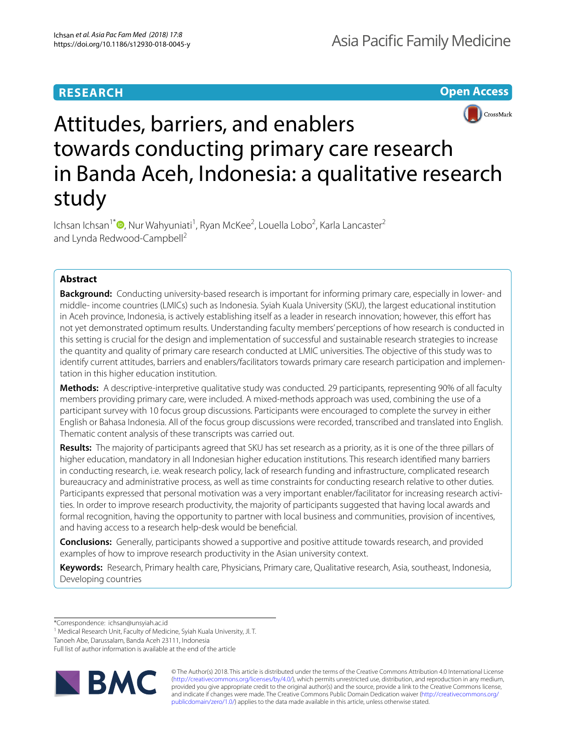# **RESEARCH**

**Open Access**



# Attitudes, barriers, and enablers towards conducting primary care research in Banda Aceh, Indonesia: a qualitative research study

Ichsan Ichsan<sup>1[\\*](http://orcid.org/0000-0002-8903-9977)</sup><sup>®</sup>, Nur Wahyuniati<sup>1</sup>, Ryan McKee<sup>2</sup>, Louella Lobo<sup>2</sup>, Karla Lancaster<sup>2</sup> and Lynda Redwood-Campbell<sup>2</sup>

# **Abstract**

**Background:** Conducting university-based research is important for informing primary care, especially in lower- and middle- income countries (LMICs) such as Indonesia. Syiah Kuala University (SKU), the largest educational institution in Aceh province, Indonesia, is actively establishing itself as a leader in research innovation; however, this efort has not yet demonstrated optimum results. Understanding faculty members' perceptions of how research is conducted in this setting is crucial for the design and implementation of successful and sustainable research strategies to increase the quantity and quality of primary care research conducted at LMIC universities. The objective of this study was to identify current attitudes, barriers and enablers/facilitators towards primary care research participation and implementation in this higher education institution.

**Methods:** A descriptive-interpretive qualitative study was conducted. 29 participants, representing 90% of all faculty members providing primary care, were included. A mixed-methods approach was used, combining the use of a participant survey with 10 focus group discussions. Participants were encouraged to complete the survey in either English or Bahasa Indonesia. All of the focus group discussions were recorded, transcribed and translated into English. Thematic content analysis of these transcripts was carried out.

**Results:** The majority of participants agreed that SKU has set research as a priority, as it is one of the three pillars of higher education, mandatory in all Indonesian higher education institutions. This research identifed many barriers in conducting research, i.e. weak research policy, lack of research funding and infrastructure, complicated research bureaucracy and administrative process, as well as time constraints for conducting research relative to other duties. Participants expressed that personal motivation was a very important enabler/facilitator for increasing research activities. In order to improve research productivity, the majority of participants suggested that having local awards and formal recognition, having the opportunity to partner with local business and communities, provision of incentives, and having access to a research help-desk would be benefcial.

**Conclusions:** Generally, participants showed a supportive and positive attitude towards research, and provided examples of how to improve research productivity in the Asian university context.

**Keywords:** Research, Primary health care, Physicians, Primary care, Qualitative research, Asia, southeast, Indonesia, Developing countries

\*Correspondence: ichsan@unsyiah.ac.id

<sup>1</sup> Medical Research Unit, Faculty of Medicine, Syiah Kuala University, Jl. T.

Tanoeh Abe, Darussalam, Banda Aceh 23111, Indonesia

Full list of author information is available at the end of the article



© The Author(s) 2018. This article is distributed under the terms of the Creative Commons Attribution 4.0 International License [\(http://creativecommons.org/licenses/by/4.0/\)](http://creativecommons.org/licenses/by/4.0/), which permits unrestricted use, distribution, and reproduction in any medium, provided you give appropriate credit to the original author(s) and the source, provide a link to the Creative Commons license, and indicate if changes were made. The Creative Commons Public Domain Dedication waiver ([http://creativecommons.org/](http://creativecommons.org/publicdomain/zero/1.0/) [publicdomain/zero/1.0/](http://creativecommons.org/publicdomain/zero/1.0/)) applies to the data made available in this article, unless otherwise stated.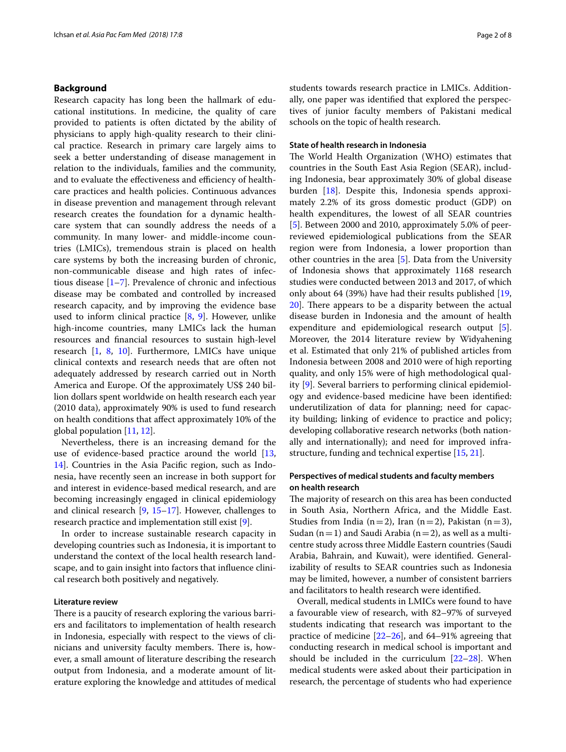## **Background**

Research capacity has long been the hallmark of educational institutions. In medicine, the quality of care provided to patients is often dictated by the ability of physicians to apply high-quality research to their clinical practice. Research in primary care largely aims to seek a better understanding of disease management in relation to the individuals, families and the community, and to evaluate the effectiveness and efficiency of healthcare practices and health policies. Continuous advances in disease prevention and management through relevant research creates the foundation for a dynamic healthcare system that can soundly address the needs of a community. In many lower- and middle-income countries (LMICs), tremendous strain is placed on health care systems by both the increasing burden of chronic, non-communicable disease and high rates of infectious disease [\[1](#page-6-0)[–7](#page-7-0)]. Prevalence of chronic and infectious disease may be combated and controlled by increased research capacity, and by improving the evidence base used to inform clinical practice  $[8, 9]$  $[8, 9]$  $[8, 9]$  $[8, 9]$ . However, unlike high-income countries, many LMICs lack the human resources and fnancial resources to sustain high-level research [[1,](#page-6-0) [8,](#page-7-1) [10](#page-7-3)]. Furthermore, LMICs have unique clinical contexts and research needs that are often not adequately addressed by research carried out in North America and Europe. Of the approximately US\$ 240 billion dollars spent worldwide on health research each year (2010 data), approximately 90% is used to fund research on health conditions that afect approximately 10% of the global population [[11,](#page-7-4) [12\]](#page-7-5).

Nevertheless, there is an increasing demand for the use of evidence-based practice around the world [\[13](#page-7-6), [14\]](#page-7-7). Countries in the Asia Pacifc region, such as Indonesia, have recently seen an increase in both support for and interest in evidence-based medical research, and are becoming increasingly engaged in clinical epidemiology and clinical research [\[9](#page-7-2), [15–](#page-7-8)[17\]](#page-7-9). However, challenges to research practice and implementation still exist [\[9](#page-7-2)].

In order to increase sustainable research capacity in developing countries such as Indonesia, it is important to understand the context of the local health research landscape, and to gain insight into factors that infuence clinical research both positively and negatively.

# **Literature review**

There is a paucity of research exploring the various barriers and facilitators to implementation of health research in Indonesia, especially with respect to the views of clinicians and university faculty members. There is, however, a small amount of literature describing the research output from Indonesia, and a moderate amount of literature exploring the knowledge and attitudes of medical students towards research practice in LMICs. Additionally, one paper was identifed that explored the perspectives of junior faculty members of Pakistani medical schools on the topic of health research.

## **State of health research in Indonesia**

The World Health Organization (WHO) estimates that countries in the South East Asia Region (SEAR), including Indonesia, bear approximately 30% of global disease burden [\[18\]](#page-7-10). Despite this, Indonesia spends approximately 2.2% of its gross domestic product (GDP) on health expenditures, the lowest of all SEAR countries [[5\]](#page-7-11). Between 2000 and 2010, approximately 5.0% of peerreviewed epidemiological publications from the SEAR region were from Indonesia, a lower proportion than other countries in the area [[5](#page-7-11)]. Data from the University of Indonesia shows that approximately 1168 research studies were conducted between 2013 and 2017, of which only about 64 (39%) have had their results published [[19](#page-7-12),  $20$ ]. There appears to be a disparity between the actual disease burden in Indonesia and the amount of health expenditure and epidemiological research output [\[5](#page-7-11)]. Moreover, the 2014 literature review by Widyahening et al. Estimated that only 21% of published articles from Indonesia between 2008 and 2010 were of high reporting quality, and only 15% were of high methodological quality [\[9](#page-7-2)]. Several barriers to performing clinical epidemiology and evidence-based medicine have been identifed: underutilization of data for planning; need for capacity building; linking of evidence to practice and policy; developing collaborative research networks (both nationally and internationally); and need for improved infrastructure, funding and technical expertise [\[15](#page-7-8), [21\]](#page-7-14).

# **Perspectives of medical students and faculty members on health research**

The majority of research on this area has been conducted in South Asia, Northern Africa, and the Middle East. Studies from India (n=2), Iran (n=2), Pakistan (n=3), Sudan (n = 1) and Saudi Arabia (n = 2), as well as a multicentre study across three Middle Eastern countries (Saudi Arabia, Bahrain, and Kuwait), were identifed. Generalizability of results to SEAR countries such as Indonesia may be limited, however, a number of consistent barriers and facilitators to health research were identifed.

Overall, medical students in LMICs were found to have a favourable view of research, with 82–97% of surveyed students indicating that research was important to the practice of medicine [\[22–](#page-7-15)[26\]](#page-7-16), and 64–91% agreeing that conducting research in medical school is important and should be included in the curriculum  $[22-28]$  $[22-28]$ . When medical students were asked about their participation in research, the percentage of students who had experience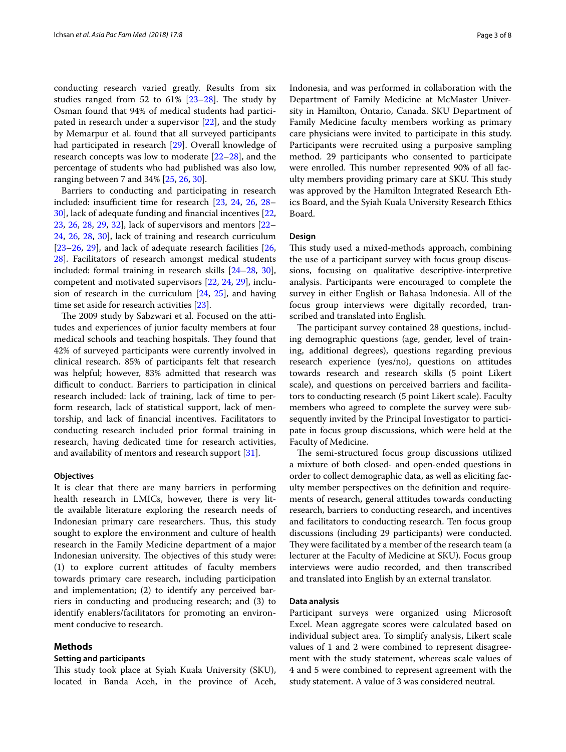conducting research varied greatly. Results from six studies ranged from 52 to 61%  $[23-28]$  $[23-28]$  $[23-28]$ . The study by Osman found that 94% of medical students had participated in research under a supervisor [[22\]](#page-7-15), and the study by Memarpur et al. found that all surveyed participants had participated in research [[29\]](#page-7-19). Overall knowledge of research concepts was low to moderate [\[22](#page-7-15)[–28](#page-7-17)], and the percentage of students who had published was also low, ranging between 7 and 34% [[25,](#page-7-20) [26](#page-7-16), [30\]](#page-7-21).

Barriers to conducting and participating in research included: insufficient time for research  $[23, 24, 26, 28 [23, 24, 26, 28 [23, 24, 26, 28 [23, 24, 26, 28 [23, 24, 26, 28 [23, 24, 26, 28-$ [30\]](#page-7-21), lack of adequate funding and fnancial incentives [\[22](#page-7-15), [23,](#page-7-18) [26,](#page-7-16) [28,](#page-7-17) [29,](#page-7-19) [32](#page-7-23)], lack of supervisors and mentors [[22–](#page-7-15) [24,](#page-7-22) [26,](#page-7-16) [28](#page-7-17), [30\]](#page-7-21), lack of training and research curriculum [[23–](#page-7-18)[26](#page-7-16), [29\]](#page-7-19), and lack of adequate research facilities [\[26](#page-7-16), [28\]](#page-7-17). Facilitators of research amongst medical students included: formal training in research skills [[24](#page-7-22)[–28](#page-7-17), [30](#page-7-21)], competent and motivated supervisors [[22](#page-7-15), [24](#page-7-22), [29](#page-7-19)], inclusion of research in the curriculum [\[24](#page-7-22), [25](#page-7-20)], and having time set aside for research activities [\[23](#page-7-18)].

The 2009 study by Sabzwari et al. Focused on the attitudes and experiences of junior faculty members at four medical schools and teaching hospitals. They found that 42% of surveyed participants were currently involved in clinical research. 85% of participants felt that research was helpful; however, 83% admitted that research was difficult to conduct. Barriers to participation in clinical research included: lack of training, lack of time to perform research, lack of statistical support, lack of mentorship, and lack of fnancial incentives. Facilitators to conducting research included prior formal training in research, having dedicated time for research activities, and availability of mentors and research support [[31\]](#page-7-24).

#### **Objectives**

It is clear that there are many barriers in performing health research in LMICs, however, there is very little available literature exploring the research needs of Indonesian primary care researchers. Thus, this study sought to explore the environment and culture of health research in the Family Medicine department of a major Indonesian university. The objectives of this study were: (1) to explore current attitudes of faculty members towards primary care research, including participation and implementation; (2) to identify any perceived barriers in conducting and producing research; and (3) to identify enablers/facilitators for promoting an environment conducive to research.

#### **Methods**

#### **Setting and participants**

This study took place at Syiah Kuala University (SKU), located in Banda Aceh, in the province of Aceh,

Indonesia, and was performed in collaboration with the Department of Family Medicine at McMaster University in Hamilton, Ontario, Canada. SKU Department of Family Medicine faculty members working as primary care physicians were invited to participate in this study. Participants were recruited using a purposive sampling method. 29 participants who consented to participate were enrolled. This number represented 90% of all faculty members providing primary care at SKU. This study was approved by the Hamilton Integrated Research Ethics Board, and the Syiah Kuala University Research Ethics Board.

## **Design**

This study used a mixed-methods approach, combining the use of a participant survey with focus group discussions, focusing on qualitative descriptive-interpretive analysis. Participants were encouraged to complete the survey in either English or Bahasa Indonesia. All of the focus group interviews were digitally recorded, transcribed and translated into English.

The participant survey contained 28 questions, including demographic questions (age, gender, level of training, additional degrees), questions regarding previous research experience (yes/no), questions on attitudes towards research and research skills (5 point Likert scale), and questions on perceived barriers and facilitators to conducting research (5 point Likert scale). Faculty members who agreed to complete the survey were subsequently invited by the Principal Investigator to participate in focus group discussions, which were held at the Faculty of Medicine.

The semi-structured focus group discussions utilized a mixture of both closed- and open-ended questions in order to collect demographic data, as well as eliciting faculty member perspectives on the defnition and requirements of research, general attitudes towards conducting research, barriers to conducting research, and incentives and facilitators to conducting research. Ten focus group discussions (including 29 participants) were conducted. They were facilitated by a member of the research team (a lecturer at the Faculty of Medicine at SKU). Focus group interviews were audio recorded, and then transcribed and translated into English by an external translator.

#### **Data analysis**

Participant surveys were organized using Microsoft Excel. Mean aggregate scores were calculated based on individual subject area. To simplify analysis, Likert scale values of 1 and 2 were combined to represent disagreement with the study statement, whereas scale values of 4 and 5 were combined to represent agreement with the study statement. A value of 3 was considered neutral.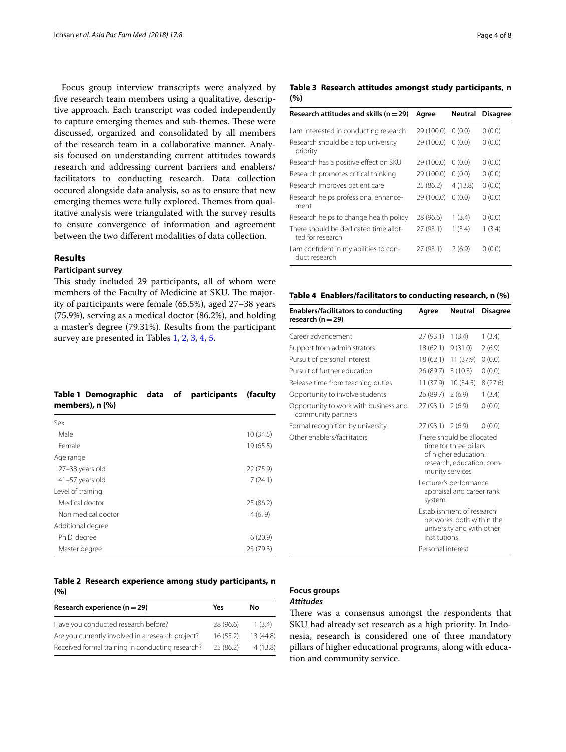Focus group interview transcripts were analyzed by fve research team members using a qualitative, descriptive approach. Each transcript was coded independently to capture emerging themes and sub-themes. These were discussed, organized and consolidated by all members of the research team in a collaborative manner. Analysis focused on understanding current attitudes towards research and addressing current barriers and enablers/ facilitators to conducting research. Data collection occured alongside data analysis, so as to ensure that new emerging themes were fully explored. Themes from qualitative analysis were triangulated with the survey results to ensure convergence of information and agreement between the two diferent modalities of data collection.

# **Results**

# **Participant survey**

This study included 29 participants, all of whom were members of the Faculty of Medicine at SKU. The majority of participants were female (65.5%), aged 27–38 years (75.9%), serving as a medical doctor (86.2%), and holding a master's degree (79.31%). Results from the participant survey are presented in Tables [1,](#page-3-0) [2](#page-3-1), [3,](#page-3-2) [4](#page-3-3), [5.](#page-4-0)

# <span id="page-3-0"></span>**Table 1 Demographic data of participants (faculty members), n (%)**

| Sex                |           |
|--------------------|-----------|
| Male               | 10(34.5)  |
| Female             | 19(65.5)  |
| Age range          |           |
| 27-38 years old    | 22(75.9)  |
| 41-57 years old    | 7(24.1)   |
| Level of training  |           |
| Medical doctor     | 25(86.2)  |
| Non medical doctor | 4(6.9)    |
| Additional degree  |           |
| Ph.D. degree       | 6(20.9)   |
| Master degree      | 23 (79.3) |
|                    |           |

#### <span id="page-3-1"></span>**Table 2 Research experience among study participants, n (%)**

| Research experience $(n = 29)$                    | Yes       | No        |
|---------------------------------------------------|-----------|-----------|
| Have you conducted research before?               | 28 (96.6) | 1(3.4)    |
| Are you currently involved in a research project? | 16(55.2)  | 13 (44.8) |
| Received formal training in conducting research?  | 25(86.2)  | 4(13.8)   |

<span id="page-3-2"></span>**Table 3 Research attitudes amongst study participants, n (%)**

| Research attitudes and skills ( $n = 29$ )                | Agree      | Neutral | <b>Disagree</b> |
|-----------------------------------------------------------|------------|---------|-----------------|
| I am interested in conducting research                    | 29 (100.0) | 0(0.0)  | 0(0.0)          |
| Research should be a top university<br>priority           | 29 (100.0) | 0(0.0)  | 0(0.0)          |
| Research has a positive effect on SKU                     | 29 (100.0) | 0(0.0)  | 0(0.0)          |
| Research promotes critical thinking                       | 29 (100.0) | 0(0.0)  | 0(0.0)          |
| Research improves patient care                            | 25(86.2)   | 4(13.8) | 0(0.0)          |
| Research helps professional enhance-<br>ment              | 29 (100.0) | 0(0.0)  | 0(0.0)          |
| Research helps to change health policy                    | 28 (96.6)  | 1(3.4)  | 0(0.0)          |
| There should be dedicated time allot-<br>ted for research | 27 (93.1)  | 1(3.4)  | 1(3.4)          |
| I am confident in my abilities to con-<br>duct research   | 27 (93.1)  | 2(6.9)  | 0(0.0)          |

<span id="page-3-3"></span>**Table 4 Enablers/facilitators to conducting research, n (%)**

| <b>Enablers/facilitators to conducting</b><br>research ( $n = 29$ ) | Agree                                                                                                                       | <b>Neutral</b> | <b>Disagree</b> |
|---------------------------------------------------------------------|-----------------------------------------------------------------------------------------------------------------------------|----------------|-----------------|
| Career advancement                                                  | 27 (93.1)                                                                                                                   | 1(3.4)         | 1(3.4)          |
| Support from administrators                                         | 18 (62.1)                                                                                                                   | 9(31.0)        | 2(6.9)          |
| Pursuit of personal interest                                        | 18 (62.1)                                                                                                                   | 11(37.9)       | 0(0.0)          |
| Pursuit of further education                                        | 26 (89.7)                                                                                                                   | 3(10.3)        | 0(0.0)          |
| Release time from teaching duties                                   | 11 (37.9)                                                                                                                   | 10(34.5)       | 8(27.6)         |
| Opportunity to involve students                                     | 26 (89.7)                                                                                                                   | 2(6.9)         | 1(3.4)          |
| Opportunity to work with business and<br>community partners         | 27(93.1)                                                                                                                    | 2(6.9)         | 0(0.0)          |
| Formal recognition by university                                    | $27(93.1)$ $2(6.9)$                                                                                                         |                | 0(0.0)          |
| Other enablers/facilitators                                         | There should be allocated<br>time for three pillars<br>of higher education:<br>research, education, com-<br>munity services |                |                 |
|                                                                     | Lecturer's performance<br>appraisal and career rank<br>system                                                               |                |                 |
|                                                                     | Establishment of research<br>networks, both within the<br>university and with other<br>institutions                         |                |                 |
|                                                                     | Personal interest                                                                                                           |                |                 |

# **Focus groups**

# *Attitudes*

There was a consensus amongst the respondents that SKU had already set research as a high priority. In Indonesia, research is considered one of three mandatory pillars of higher educational programs, along with education and community service.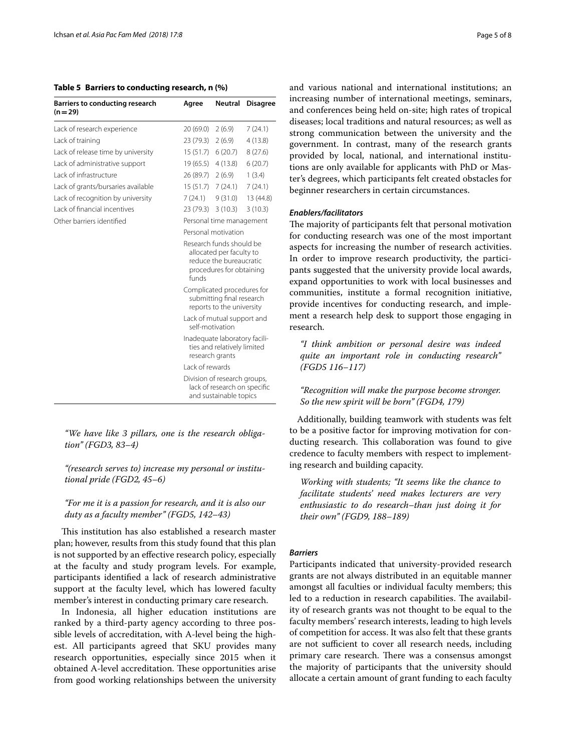<span id="page-4-0"></span>

| Barriers to conducting research<br>$(n=29)$ | Agree                    | Neutral                                                                                                     | <b>Disagree</b> |  |
|---------------------------------------------|--------------------------|-------------------------------------------------------------------------------------------------------------|-----------------|--|
| Lack of research experience                 | 20 (69.0)                | 2(6.9)                                                                                                      | 7(24.1)         |  |
| Lack of training                            | 23 (79.3)                | 2(6.9)                                                                                                      | 4(13.8)         |  |
| Lack of release time by university          | 15(51.7)                 | 6(20.7)                                                                                                     | 8(27.6)         |  |
| Lack of administrative support              | 19 (65.5)                | 4(13.8)                                                                                                     | 6(20.7)         |  |
| Lack of infrastructure                      | 26 (89.7)                | 2(6.9)                                                                                                      | 1(3.4)          |  |
| Lack of grants/bursaries available          | 15 (51.7)                | 7(24.1)                                                                                                     | 7(24.1)         |  |
| Lack of recognition by university           | 7(24.1)                  | 9(31.0)                                                                                                     | 13 (44.8)       |  |
| Lack of financial incentives                | 23 (79.3)                | 3(10.3)                                                                                                     | 3(10.3)         |  |
| Other barriers identified                   | Personal time management |                                                                                                             |                 |  |
|                                             |                          | Personal motivation                                                                                         |                 |  |
|                                             | funds                    | Research funds should be<br>allocated per faculty to<br>reduce the bureaucratic<br>procedures for obtaining |                 |  |
|                                             |                          | Complicated procedures for<br>submitting final research<br>reports to the university                        |                 |  |
|                                             |                          | Lack of mutual support and<br>self-motivation                                                               |                 |  |
|                                             |                          | Inadequate laboratory facili-<br>ties and relatively limited<br>research grants                             |                 |  |
|                                             | Lack of rewards          |                                                                                                             |                 |  |
|                                             |                          | Division of research groups,<br>lack of research on specific<br>and sustainable topics                      |                 |  |

*"We have like 3 pillars, one is the research obligation" (FGD3, 83–4)*

*"(research serves to) increase my personal or institutional pride (FGD2, 45–6)*

# *"For me it is a passion for research, and it is also our duty as a faculty member" (FGD5, 142–43)*

This institution has also established a research master plan; however, results from this study found that this plan is not supported by an efective research policy, especially at the faculty and study program levels. For example, participants identifed a lack of research administrative support at the faculty level, which has lowered faculty member's interest in conducting primary care research.

In Indonesia, all higher education institutions are ranked by a third-party agency according to three possible levels of accreditation, with A-level being the highest. All participants agreed that SKU provides many research opportunities, especially since 2015 when it obtained A-level accreditation. These opportunities arise from good working relationships between the university and various national and international institutions; an increasing number of international meetings, seminars, and conferences being held on-site; high rates of tropical diseases; local traditions and natural resources; as well as strong communication between the university and the government. In contrast, many of the research grants provided by local, national, and international institutions are only available for applicants with PhD or Master's degrees, which participants felt created obstacles for beginner researchers in certain circumstances.

## *Enablers/facilitators*

The majority of participants felt that personal motivation for conducting research was one of the most important aspects for increasing the number of research activities. In order to improve research productivity, the participants suggested that the university provide local awards, expand opportunities to work with local businesses and communities, institute a formal recognition initiative, provide incentives for conducting research, and implement a research help desk to support those engaging in research.

*"I think ambition or personal desire was indeed quite an important role in conducting research" (FGD5 116–117)*

*"Recognition will make the purpose become stronger. So the new spirit will be born" (FGD4, 179)*

Additionally, building teamwork with students was felt to be a positive factor for improving motivation for conducting research. This collaboration was found to give credence to faculty members with respect to implementing research and building capacity.

*Working with students; "It seems like the chance to facilitate students' need makes lecturers are very enthusiastic to do research–than just doing it for their own" (FGD9, 188–189)*

## *Barriers*

Participants indicated that university-provided research grants are not always distributed in an equitable manner amongst all faculties or individual faculty members; this led to a reduction in research capabilities. The availability of research grants was not thought to be equal to the faculty members' research interests, leading to high levels of competition for access. It was also felt that these grants are not sufficient to cover all research needs, including primary care research. There was a consensus amongst the majority of participants that the university should allocate a certain amount of grant funding to each faculty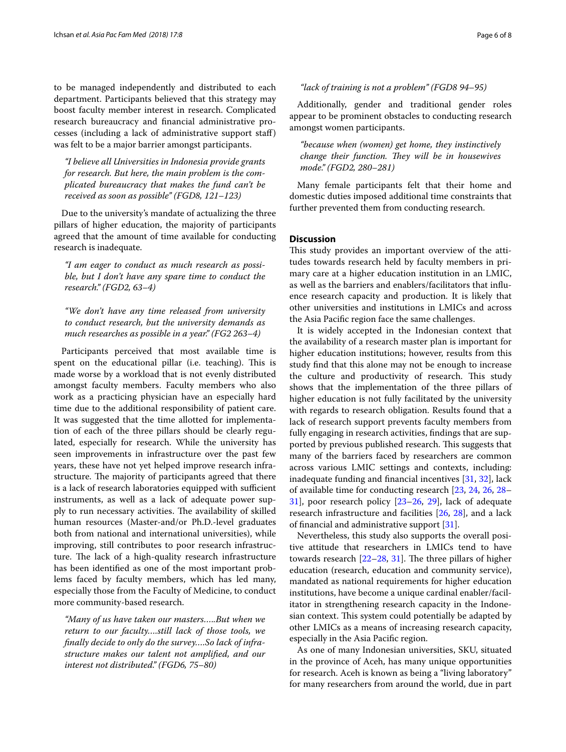to be managed independently and distributed to each department. Participants believed that this strategy may boost faculty member interest in research. Complicated research bureaucracy and fnancial administrative processes (including a lack of administrative support staf) was felt to be a major barrier amongst participants.

*"I believe all Universities in Indonesia provide grants for research. But here, the main problem is the complicated bureaucracy that makes the fund can't be received as soon as possible" (FGD8, 121–123)*

Due to the university's mandate of actualizing the three pillars of higher education, the majority of participants agreed that the amount of time available for conducting research is inadequate.

*"I am eager to conduct as much research as possible, but I don't have any spare time to conduct the research." (FGD2, 63–4)*

*"We don't have any time released from university to conduct research, but the university demands as much researches as possible in a year." (FG2 263–4)*

Participants perceived that most available time is spent on the educational pillar (i.e. teaching). This is made worse by a workload that is not evenly distributed amongst faculty members. Faculty members who also work as a practicing physician have an especially hard time due to the additional responsibility of patient care. It was suggested that the time allotted for implementation of each of the three pillars should be clearly regulated, especially for research. While the university has seen improvements in infrastructure over the past few years, these have not yet helped improve research infrastructure. The majority of participants agreed that there is a lack of research laboratories equipped with sufficient instruments, as well as a lack of adequate power supply to run necessary activities. The availability of skilled human resources (Master-and/or Ph.D.-level graduates both from national and international universities), while improving, still contributes to poor research infrastructure. The lack of a high-quality research infrastructure has been identifed as one of the most important problems faced by faculty members, which has led many, especially those from the Faculty of Medicine, to conduct more community-based research.

*"Many of us have taken our masters…..But when we return to our faculty….still lack of those tools, we fnally decide to only do the survey….So lack of infrastructure makes our talent not amplifed, and our interest not distributed." (FGD6, 75–80)*

# *"lack of training is not a problem" (FGD8 94–95)*

Additionally, gender and traditional gender roles appear to be prominent obstacles to conducting research amongst women participants.

*"because when (women) get home, they instinctively change their function. They will be in housewives mode." (FGD2, 280–281)*

Many female participants felt that their home and domestic duties imposed additional time constraints that further prevented them from conducting research.

# **Discussion**

This study provides an important overview of the attitudes towards research held by faculty members in primary care at a higher education institution in an LMIC, as well as the barriers and enablers/facilitators that infuence research capacity and production. It is likely that other universities and institutions in LMICs and across the Asia Pacifc region face the same challenges.

It is widely accepted in the Indonesian context that the availability of a research master plan is important for higher education institutions; however, results from this study fnd that this alone may not be enough to increase the culture and productivity of research. This study shows that the implementation of the three pillars of higher education is not fully facilitated by the university with regards to research obligation. Results found that a lack of research support prevents faculty members from fully engaging in research activities, fndings that are supported by previous published research. This suggests that many of the barriers faced by researchers are common across various LMIC settings and contexts, including: inadequate funding and fnancial incentives [\[31](#page-7-24), [32](#page-7-23)], lack of available time for conducting research [\[23](#page-7-18), [24](#page-7-22), [26,](#page-7-16) [28–](#page-7-17) [31\]](#page-7-24), poor research policy [\[23](#page-7-18)–[26,](#page-7-16) [29\]](#page-7-19), lack of adequate research infrastructure and facilities [[26,](#page-7-16) [28](#page-7-17)], and a lack of fnancial and administrative support [[31](#page-7-24)].

Nevertheless, this study also supports the overall positive attitude that researchers in LMICs tend to have towards research  $[22-28, 31]$  $[22-28, 31]$  $[22-28, 31]$  $[22-28, 31]$ . The three pillars of higher education (research, education and community service), mandated as national requirements for higher education institutions, have become a unique cardinal enabler/facilitator in strengthening research capacity in the Indonesian context. This system could potentially be adapted by other LMICs as a means of increasing research capacity, especially in the Asia Pacifc region.

As one of many Indonesian universities, SKU, situated in the province of Aceh, has many unique opportunities for research. Aceh is known as being a "living laboratory" for many researchers from around the world, due in part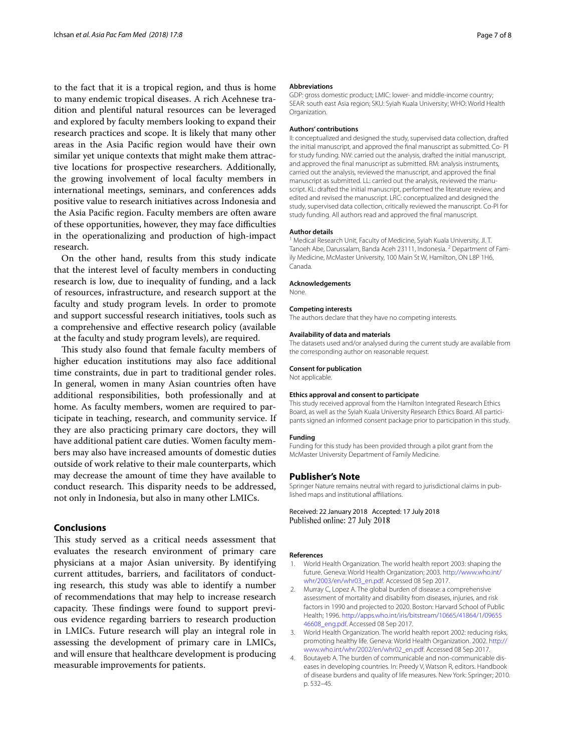to the fact that it is a tropical region, and thus is home to many endemic tropical diseases. A rich Acehnese tradition and plentiful natural resources can be leveraged and explored by faculty members looking to expand their research practices and scope. It is likely that many other areas in the Asia Pacifc region would have their own similar yet unique contexts that might make them attractive locations for prospective researchers. Additionally, the growing involvement of local faculty members in international meetings, seminars, and conferences adds positive value to research initiatives across Indonesia and the Asia Pacifc region. Faculty members are often aware of these opportunities, however, they may face difficulties in the operationalizing and production of high-impact research.

On the other hand, results from this study indicate that the interest level of faculty members in conducting research is low, due to inequality of funding, and a lack of resources, infrastructure, and research support at the faculty and study program levels. In order to promote and support successful research initiatives, tools such as a comprehensive and efective research policy (available at the faculty and study program levels), are required.

This study also found that female faculty members of higher education institutions may also face additional time constraints, due in part to traditional gender roles. In general, women in many Asian countries often have additional responsibilities, both professionally and at home. As faculty members, women are required to participate in teaching, research, and community service. If they are also practicing primary care doctors, they will have additional patient care duties. Women faculty members may also have increased amounts of domestic duties outside of work relative to their male counterparts, which may decrease the amount of time they have available to conduct research. This disparity needs to be addressed, not only in Indonesia, but also in many other LMICs.

# **Conclusions**

This study served as a critical needs assessment that evaluates the research environment of primary care physicians at a major Asian university. By identifying current attitudes, barriers, and facilitators of conducting research, this study was able to identify a number of recommendations that may help to increase research capacity. These findings were found to support previous evidence regarding barriers to research production in LMICs. Future research will play an integral role in assessing the development of primary care in LMICs, and will ensure that healthcare development is producing measurable improvements for patients.

#### **Abbreviations**

GDP: gross domestic product; LMIC: lower- and middle-income country; SEAR: south east Asia region; SKU: Syiah Kuala University; WHO: World Health Organization.

#### **Authors' contributions**

II: conceptualized and designed the study, supervised data collection, drafted the initial manuscript, and approved the fnal manuscript as submitted. Co- PI for study funding. NW: carried out the analysis, drafted the initial manuscript, and approved the fnal manuscript as submitted. RM: analysis instruments, carried out the analysis, reviewed the manuscript, and approved the fnal manuscript as submitted. LL: carried out the analysis, reviewed the manuscript. KL: drafted the initial manuscript, performed the literature review, and edited and revised the manuscript. LRC: conceptualized and designed the study, supervised data collection, critically reviewed the manuscript. Co-PI for study funding. All authors read and approved the fnal manuscript.

#### **Author details**

<sup>1</sup> Medical Research Unit, Faculty of Medicine, Syiah Kuala University, Jl. T. Tanoeh Abe, Darussalam, Banda Aceh 23111, Indonesia. <sup>2</sup> Department of Family Medicine, McMaster University, 100 Main St W, Hamilton, ON L8P 1H6, Canada.

# **Acknowledgements**

None.

#### **Competing interests**

The authors declare that they have no competing interests.

#### **Availability of data and materials**

The datasets used and/or analysed during the current study are available from the corresponding author on reasonable request.

#### **Consent for publication**

Not applicable.

#### **Ethics approval and consent to participate**

This study received approval from the Hamilton Integrated Research Ethics Board, as well as the Syiah Kuala University Research Ethics Board. All participants signed an informed consent package prior to participation in this study.

#### **Funding**

Funding for this study has been provided through a pilot grant from the McMaster University Department of Family Medicine.

#### **Publisher's Note**

Springer Nature remains neutral with regard to jurisdictional claims in published maps and institutional afliations.

Received: 22 January 2018 Accepted: 17 July 2018 Published online: 27 July 2018

#### **References**

- <span id="page-6-0"></span>1. World Health Organization. The world health report 2003: shaping the future. Geneva: World Health Organization; 2003. [http://www.who.int/](http://www.who.int/whr/2003/en/whr03_en.pdf) [whr/2003/en/whr03\\_en.pdf](http://www.who.int/whr/2003/en/whr03_en.pdf). Accessed 08 Sep 2017.
- 2. Murray C, Lopez A. The global burden of disease: a comprehensive assessment of mortality and disability from diseases, injuries, and risk factors in 1990 and projected to 2020. Boston: Harvard School of Public Health; 1996. [http://apps.who.int/iris/bitstream/10665/41864/1/09655](http://apps.who.int/iris/bitstream/10665/41864/1/0965546608_eng.pdf) [46608\\_eng.pdf.](http://apps.who.int/iris/bitstream/10665/41864/1/0965546608_eng.pdf) Accessed 08 Sep 2017.
- 3. World Health Organization. The world health report 2002: reducing risks, promoting healthy life. Geneva: World Health Organization. 2002. [http://](http://www.who.int/whr/2002/en/whr02_en.pdf) [www.who.int/whr/2002/en/whr02\\_en.pdf.](http://www.who.int/whr/2002/en/whr02_en.pdf) Accessed 08 Sep 2017.
- 4. Boutayeb A. The burden of communicable and non-communicable diseases in developing countries. In: Preedy V, Watson R, editors. Handbook of disease burdens and quality of life measures. New York: Springer; 2010. p. 532–45.